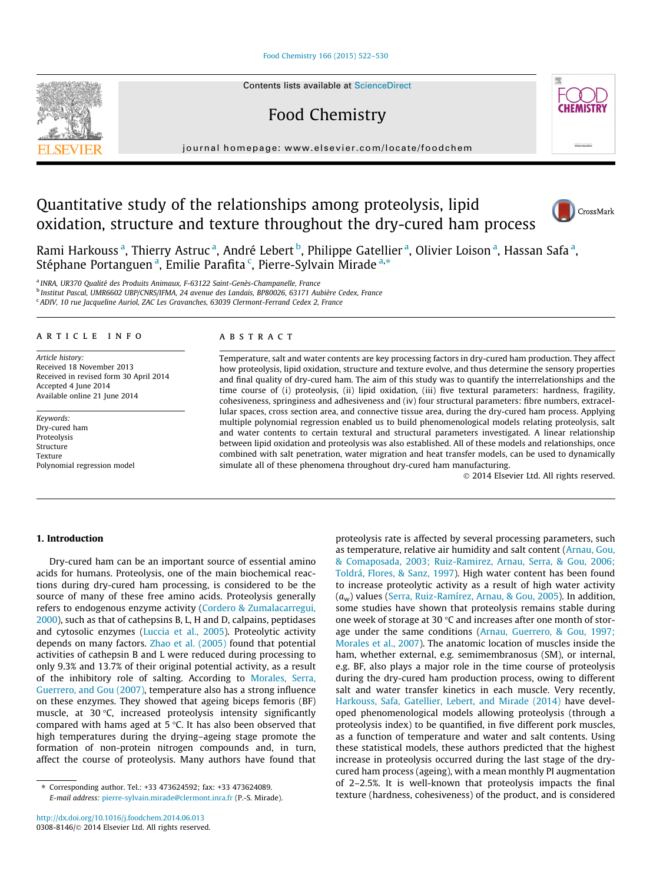## [Food Chemistry 166 \(2015\) 522–530](http://dx.doi.org/10.1016/j.foodchem.2014.06.013)

Contents lists available at [ScienceDirect](http://www.sciencedirect.com/science/journal/03088146)

# Food Chemistry

journal homepage: [www.elsevier.com/locate/foodchem](http://www.elsevier.com/locate/foodchem)

# Quantitative study of the relationships among proteolysis, lipid oxidation, structure and texture throughout the dry-cured ham process

Rami Harkouss <sup>a</sup>, Thierry Astruc <sup>a</sup>, André Lebert <sup>b</sup>, Philippe Gatellier <sup>a</sup>, Olivier Loison <sup>a</sup>, Hassan Safa <sup>a</sup>, Stéphane Portanguen<sup>a</sup>, Emilie Parafita<sup>c</sup>, Pierre-Sylvain Mirade<sup>a,\*</sup>

<sup>a</sup> INRA, UR370 Qualité des Produits Animaux, F-63122 Saint-Genès-Champanelle, France <sup>b</sup> Institut Pascal, UMR6602 UBP/CNRS/IFMA, 24 avenue des Landais, BP80026, 63171 Aubière Cedex, France <sup>c</sup> ADIV, 10 rue Jacqueline Auriol, ZAC Les Gravanches, 63039 Clermont-Ferrand Cedex 2, France

## article info

Article history: Received 18 November 2013 Received in revised form 30 April 2014 Accepted 4 June 2014 Available online 21 June 2014

Keywords: Dry-cured ham Proteolysis Structure Texture Polynomial regression model

# **ABSTRACT**

Temperature, salt and water contents are key processing factors in dry-cured ham production. They affect how proteolysis, lipid oxidation, structure and texture evolve, and thus determine the sensory properties and final quality of dry-cured ham. The aim of this study was to quantify the interrelationships and the time course of (i) proteolysis, (ii) lipid oxidation, (iii) five textural parameters: hardness, fragility, cohesiveness, springiness and adhesiveness and (iv) four structural parameters: fibre numbers, extracellular spaces, cross section area, and connective tissue area, during the dry-cured ham process. Applying multiple polynomial regression enabled us to build phenomenological models relating proteolysis, salt and water contents to certain textural and structural parameters investigated. A linear relationship between lipid oxidation and proteolysis was also established. All of these models and relationships, once combined with salt penetration, water migration and heat transfer models, can be used to dynamically simulate all of these phenomena throughout dry-cured ham manufacturing.

- 2014 Elsevier Ltd. All rights reserved.

# 1. Introduction

Dry-cured ham can be an important source of essential amino acids for humans. Proteolysis, one of the main biochemical reactions during dry-cured ham processing, is considered to be the source of many of these free amino acids. Proteolysis generally refers to endogenous enzyme activity ([Cordero & Zumalacarregui,](#page-7-0) [2000\)](#page-7-0), such as that of cathepsins B, L, H and D, calpains, peptidases and cytosolic enzymes ([Luccia et al., 2005](#page-8-0)). Proteolytic activity depends on many factors. [Zhao et al. \(2005\)](#page-8-0) found that potential activities of cathepsin B and L were reduced during processing to only 9.3% and 13.7% of their original potential activity, as a result of the inhibitory role of salting. According to [Morales, Serra,](#page-8-0) [Guerrero, and Gou \(2007\),](#page-8-0) temperature also has a strong influence on these enzymes. They showed that ageing biceps femoris (BF) muscle, at 30 °C, increased proteolysis intensity significantly compared with hams aged at  $5^{\circ}$ C. It has also been observed that high temperatures during the drying–ageing stage promote the formation of non-protein nitrogen compounds and, in turn, affect the course of proteolysis. Many authors have found that

proteolysis rate is affected by several processing parameters, such as temperature, relative air humidity and salt content ([Arnau, Gou,](#page-7-0) [& Comaposada, 2003; Ruiz-Ramirez, Arnau, Serra, & Gou, 2006;](#page-7-0) [Toldrá, Flores, & Sanz, 1997](#page-7-0)). High water content has been found to increase proteolytic activity as a result of high water activity (aw) values [\(Serra, Ruiz-Ramírez, Arnau, & Gou, 2005](#page-8-0)). In addition, some studies have shown that proteolysis remains stable during one week of storage at 30  $\mathrm{^{\circ}C}$  and increases after one month of storage under the same conditions ([Arnau, Guerrero, & Gou, 1997;](#page-7-0) [Morales et al., 2007\)](#page-7-0). The anatomic location of muscles inside the ham, whether external, e.g. semimembranosus (SM), or internal, e.g. BF, also plays a major role in the time course of proteolysis during the dry-cured ham production process, owing to different salt and water transfer kinetics in each muscle. Very recently, [Harkouss, Safa, Gatellier, Lebert, and Mirade \(2014\)](#page-8-0) have developed phenomenological models allowing proteolysis (through a proteolysis index) to be quantified, in five different pork muscles, as a function of temperature and water and salt contents. Using these statistical models, these authors predicted that the highest increase in proteolysis occurred during the last stage of the drycured ham process (ageing), with a mean monthly PI augmentation of 2–2.5%. It is well-known that proteolysis impacts the final texture (hardness, cohesiveness) of the product, and is considered





<sup>⇑</sup> Corresponding author. Tel.: +33 473624592; fax: +33 473624089. E-mail address: [pierre-sylvain.mirade@clermont.inra.fr](mailto:pierre-sylvain.mirade@clermont.inra.fr) (P.-S. Mirade).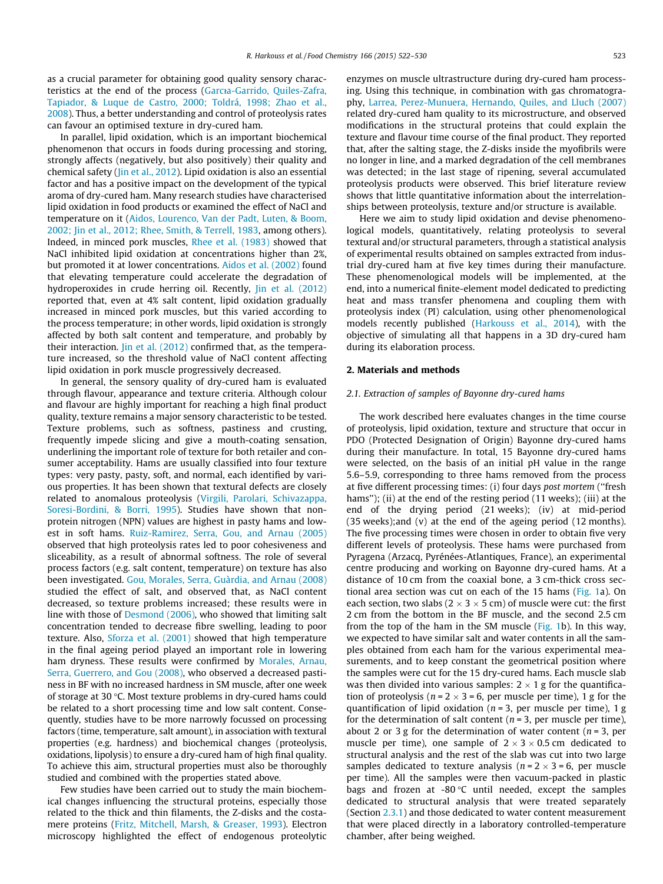as a crucial parameter for obtaining good quality sensory charac-teristics at the end of the process ([Garc](#page-7-0)i[a-Garrido, Quiles-Zafra,](#page-7-0) [Tapiador, & Luque de Castro, 2000; Toldrá, 1998; Zhao et al.,](#page-7-0) [2008](#page-7-0)). Thus, a better understanding and control of proteolysis rates can favour an optimised texture in dry-cured ham.

In parallel, lipid oxidation, which is an important biochemical phenomenon that occurs in foods during processing and storing, strongly affects (negatively, but also positively) their quality and chemical safety ([Jin et al., 2012\)](#page-8-0). Lipid oxidation is also an essential factor and has a positive impact on the development of the typical aroma of dry-cured ham. Many research studies have characterised lipid oxidation in food products or examined the effect of NaCl and temperature on it [\(Aidos, Lourenco, Van der Padt, Luten, & Boom,](#page-7-0) [2002; Jin et al., 2012; Rhee, Smith, & Terrell, 1983](#page-7-0), among others). Indeed, in minced pork muscles, [Rhee et al. \(1983\)](#page-8-0) showed that NaCl inhibited lipid oxidation at concentrations higher than 2%, but promoted it at lower concentrations. [Aidos et al. \(2002\)](#page-7-0) found that elevating temperature could accelerate the degradation of hydroperoxides in crude herring oil. Recently, *Jin et al.* (2012) reported that, even at 4% salt content, lipid oxidation gradually increased in minced pork muscles, but this varied according to the process temperature; in other words, lipid oxidation is strongly affected by both salt content and temperature, and probably by their interaction. [Jin et al. \(2012\)](#page-8-0) confirmed that, as the temperature increased, so the threshold value of NaCl content affecting lipid oxidation in pork muscle progressively decreased.

In general, the sensory quality of dry-cured ham is evaluated through flavour, appearance and texture criteria. Although colour and flavour are highly important for reaching a high final product quality, texture remains a major sensory characteristic to be tested. Texture problems, such as softness, pastiness and crusting, frequently impede slicing and give a mouth-coating sensation, underlining the important role of texture for both retailer and consumer acceptability. Hams are usually classified into four texture types: very pasty, pasty, soft, and normal, each identified by various properties. It has been shown that textural defects are closely related to anomalous proteolysis [\(Virgili, Parolari, Schivazappa,](#page-8-0) [Soresi-Bordini, & Borri, 1995\)](#page-8-0). Studies have shown that nonprotein nitrogen (NPN) values are highest in pasty hams and lowest in soft hams. [Ruiz-Ramirez, Serra, Gou, and Arnau \(2005\)](#page-8-0) observed that high proteolysis rates led to poor cohesiveness and sliceability, as a result of abnormal softness. The role of several process factors (e.g. salt content, temperature) on texture has also been investigated. [Gou, Morales, Serra, Guàrdia, and Arnau \(2008\)](#page-7-0) studied the effect of salt, and observed that, as NaCl content decreased, so texture problems increased; these results were in line with those of [Desmond \(2006\),](#page-7-0) who showed that limiting salt concentration tended to decrease fibre swelling, leading to poor texture. Also, [Sforza et al. \(2001\)](#page-8-0) showed that high temperature in the final ageing period played an important role in lowering ham dryness. These results were confirmed by [Morales, Arnau,](#page-8-0) [Serra, Guerrero, and Gou \(2008\)](#page-8-0), who observed a decreased pastiness in BF with no increased hardness in SM muscle, after one week of storage at 30 °C. Most texture problems in dry-cured hams could be related to a short processing time and low salt content. Consequently, studies have to be more narrowly focussed on processing factors (time, temperature, salt amount), in association with textural properties (e.g. hardness) and biochemical changes (proteolysis, oxidations, lipolysis) to ensure a dry-cured ham of high final quality. To achieve this aim, structural properties must also be thoroughly studied and combined with the properties stated above.

Few studies have been carried out to study the main biochemical changes influencing the structural proteins, especially those related to the thick and thin filaments, the Z-disks and the costamere proteins [\(Fritz, Mitchell, Marsh, & Greaser, 1993\)](#page-7-0). Electron microscopy highlighted the effect of endogenous proteolytic enzymes on muscle ultrastructure during dry-cured ham processing. Using this technique, in combination with gas chromatography, [Larrea, Perez-Munuera, Hernando, Quiles, and Lluch \(2007\)](#page-8-0) related dry-cured ham quality to its microstructure, and observed modifications in the structural proteins that could explain the texture and flavour time course of the final product. They reported that, after the salting stage, the Z-disks inside the myofibrils were no longer in line, and a marked degradation of the cell membranes was detected; in the last stage of ripening, several accumulated proteolysis products were observed. This brief literature review shows that little quantitative information about the interrelationships between proteolysis, texture and/or structure is available.

Here we aim to study lipid oxidation and devise phenomenological models, quantitatively, relating proteolysis to several textural and/or structural parameters, through a statistical analysis of experimental results obtained on samples extracted from industrial dry-cured ham at five key times during their manufacture. These phenomenological models will be implemented, at the end, into a numerical finite-element model dedicated to predicting heat and mass transfer phenomena and coupling them with proteolysis index (PI) calculation, using other phenomenological models recently published [\(Harkouss et al., 2014](#page-8-0)), with the objective of simulating all that happens in a 3D dry-cured ham during its elaboration process.

#### 2. Materials and methods

## 2.1. Extraction of samples of Bayonne dry-cured hams

The work described here evaluates changes in the time course of proteolysis, lipid oxidation, texture and structure that occur in PDO (Protected Designation of Origin) Bayonne dry-cured hams during their manufacture. In total, 15 Bayonne dry-cured hams were selected, on the basis of an initial pH value in the range 5.6–5.9, corresponding to three hams removed from the process at five different processing times: (i) four days post mortem (''fresh hams"); (ii) at the end of the resting period (11 weeks); (iii) at the end of the drying period (21 weeks); (iv) at mid-period (35 weeks);and (v) at the end of the ageing period (12 months). The five processing times were chosen in order to obtain five very different levels of proteolysis. These hams were purchased from Pyragena (Arzacq, Pyrénées-Atlantiques, France), an experimental centre producing and working on Bayonne dry-cured hams. At a distance of 10 cm from the coaxial bone, a 3 cm-thick cross sectional area section was cut on each of the 15 hams [\(Fig. 1](#page-2-0)a). On each section, two slabs (2  $\times$  3  $\times$  5 cm) of muscle were cut: the first 2 cm from the bottom in the BF muscle, and the second 2.5 cm from the top of the ham in the SM muscle [\(Fig. 1](#page-2-0)b). In this way, we expected to have similar salt and water contents in all the samples obtained from each ham for the various experimental measurements, and to keep constant the geometrical position where the samples were cut for the 15 dry-cured hams. Each muscle slab was then divided into various samples:  $2 \times 1$  g for the quantification of proteolysis ( $n = 2 \times 3 = 6$ , per muscle per time), 1 g for the quantification of lipid oxidation ( $n = 3$ , per muscle per time), 1 g for the determination of salt content ( $n = 3$ , per muscle per time), about 2 or 3 g for the determination of water content ( $n = 3$ , per muscle per time), one sample of  $2 \times 3 \times 0.5$  cm dedicated to structural analysis and the rest of the slab was cut into two large samples dedicated to texture analysis ( $n = 2 \times 3 = 6$ , per muscle per time). All the samples were then vacuum-packed in plastic bags and frozen at -80 $\degree$ C until needed, except the samples dedicated to structural analysis that were treated separately (Section [2.3.1](#page-2-0)) and those dedicated to water content measurement that were placed directly in a laboratory controlled-temperature chamber, after being weighed.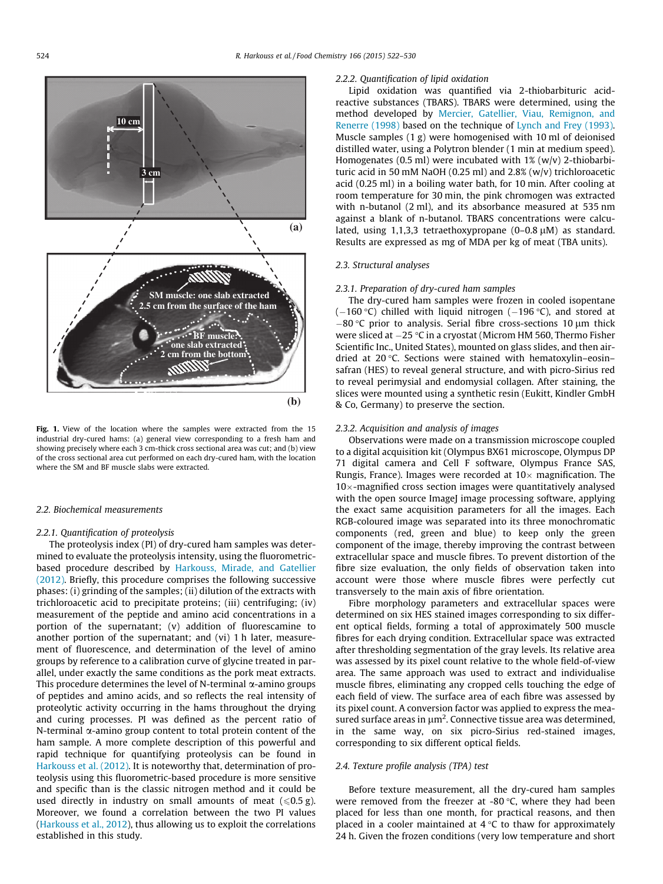<span id="page-2-0"></span>

Fig. 1. View of the location where the samples were extracted from the 15 industrial dry-cured hams: (a) general view corresponding to a fresh ham and showing precisely where each 3 cm-thick cross sectional area was cut; and (b) view of the cross sectional area cut performed on each dry-cured ham, with the location where the SM and BF muscle slabs were extracted.

# 2.2. Biochemical measurements

## 2.2.1. Quantification of proteolysis

The proteolysis index (PI) of dry-cured ham samples was determined to evaluate the proteolysis intensity, using the fluorometricbased procedure described by [Harkouss, Mirade, and Gatellier](#page-7-0) [\(2012\).](#page-7-0) Briefly, this procedure comprises the following successive phases: (i) grinding of the samples; (ii) dilution of the extracts with trichloroacetic acid to precipitate proteins; (iii) centrifuging; (iv) measurement of the peptide and amino acid concentrations in a portion of the supernatant; (v) addition of fluorescamine to another portion of the supernatant; and (vi) 1 h later, measurement of fluorescence, and determination of the level of amino groups by reference to a calibration curve of glycine treated in parallel, under exactly the same conditions as the pork meat extracts. This procedure determines the level of N-terminal  $\alpha$ -amino groups of peptides and amino acids, and so reflects the real intensity of proteolytic activity occurring in the hams throughout the drying and curing processes. PI was defined as the percent ratio of N-terminal  $\alpha$ -amino group content to total protein content of the ham sample. A more complete description of this powerful and rapid technique for quantifying proteolysis can be found in [Harkouss et al. \(2012\)](#page-7-0). It is noteworthy that, determination of proteolysis using this fluorometric-based procedure is more sensitive and specific than is the classic nitrogen method and it could be used directly in industry on small amounts of meat  $(\le 0.5 g)$ . Moreover, we found a correlation between the two PI values ([Harkouss et al., 2012](#page-7-0)), thus allowing us to exploit the correlations established in this study.

## 2.2.2. Quantification of lipid oxidation

Lipid oxidation was quantified via 2-thiobarbituric acidreactive substances (TBARS). TBARS were determined, using the method developed by [Mercier, Gatellier, Viau, Remignon, and](#page-8-0) [Renerre \(1998\)](#page-8-0) based on the technique of [Lynch and Frey \(1993\).](#page-8-0) Muscle samples (1 g) were homogenised with 10 ml of deionised distilled water, using a Polytron blender (1 min at medium speed). Homogenates (0.5 ml) were incubated with 1% (w/v) 2-thiobarbituric acid in 50 mM NaOH (0.25 ml) and 2.8% (w/v) trichloroacetic acid (0.25 ml) in a boiling water bath, for 10 min. After cooling at room temperature for 30 min, the pink chromogen was extracted with n-butanol (2 ml), and its absorbance measured at 535 nm against a blank of n-butanol. TBARS concentrations were calculated, using 1,1,3,3 tetraethoxypropane  $(0-0.8 \mu M)$  as standard. Results are expressed as mg of MDA per kg of meat (TBA units).

## 2.3. Structural analyses

## 2.3.1. Preparation of dry-cured ham samples

The dry-cured ham samples were frozen in cooled isopentane  $(-160 \degree C)$  chilled with liquid nitrogen (-196 °C), and stored at  $-80$  °C prior to analysis. Serial fibre cross-sections 10  $\mu$ m thick were sliced at  $-25$  °C in a cryostat (Microm HM 560, Thermo Fisher Scientific Inc., United States), mounted on glass slides, and then airdried at 20 $\degree$ C. Sections were stained with hematoxylin–eosin– safran (HES) to reveal general structure, and with picro-Sirius red to reveal perimysial and endomysial collagen. After staining, the slices were mounted using a synthetic resin (Eukitt, Kindler GmbH & Co, Germany) to preserve the section.

## 2.3.2. Acquisition and analysis of images

Observations were made on a transmission microscope coupled to a digital acquisition kit (Olympus BX61 microscope, Olympus DP 71 digital camera and Cell F software, Olympus France SAS, Rungis, France). Images were recorded at  $10\times$  magnification. The  $10\times$ -magnified cross section images were quantitatively analysed with the open source ImageJ image processing software, applying the exact same acquisition parameters for all the images. Each RGB-coloured image was separated into its three monochromatic components (red, green and blue) to keep only the green component of the image, thereby improving the contrast between extracellular space and muscle fibres. To prevent distortion of the fibre size evaluation, the only fields of observation taken into account were those where muscle fibres were perfectly cut transversely to the main axis of fibre orientation.

Fibre morphology parameters and extracellular spaces were determined on six HES stained images corresponding to six different optical fields, forming a total of approximately 500 muscle fibres for each drying condition. Extracellular space was extracted after thresholding segmentation of the gray levels. Its relative area was assessed by its pixel count relative to the whole field-of-view area. The same approach was used to extract and individualise muscle fibres, eliminating any cropped cells touching the edge of each field of view. The surface area of each fibre was assessed by its pixel count. A conversion factor was applied to express the measured surface areas in  $\mu$ m<sup>2</sup>. Connective tissue area was determined, in the same way, on six picro-Sirius red-stained images, corresponding to six different optical fields.

# 2.4. Texture profile analysis (TPA) test

Before texture measurement, all the dry-cured ham samples were removed from the freezer at -80  $\degree$ C, where they had been placed for less than one month, for practical reasons, and then placed in a cooler maintained at  $4^{\circ}$ C to thaw for approximately 24 h. Given the frozen conditions (very low temperature and short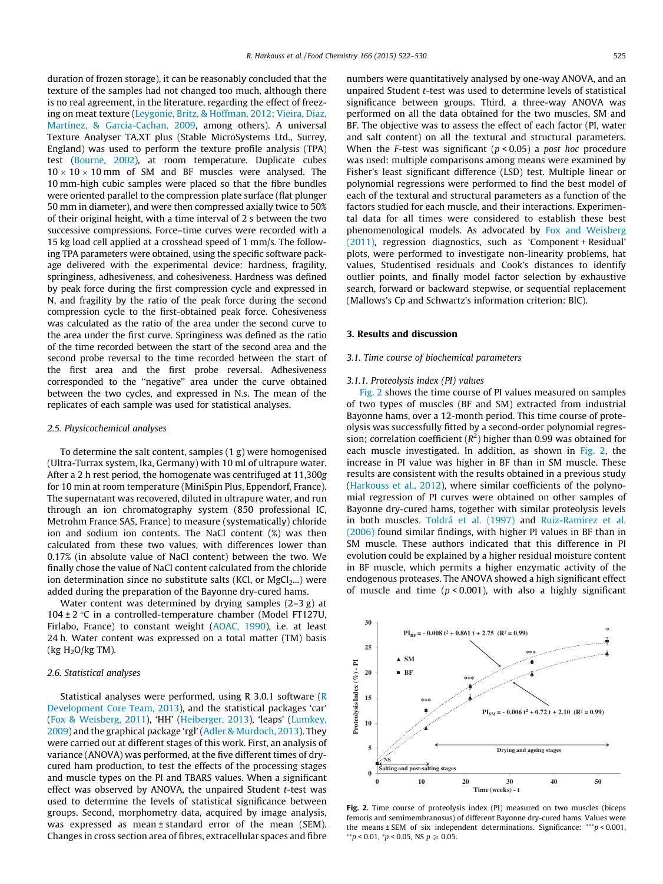duration of frozen storage), it can be reasonably concluded that the texture of the samples had not changed too much, although there is no real agreement, in the literature, regarding the effect of freezing on meat texture [\(Leygonie, Britz, & Hoffman, 2012; Vieira, Diaz,](#page-8-0) [Martinez, & Garcia-Cachan, 2009,](#page-8-0) among others). A universal Texture Analyser TA.XT plus (Stable MicroSystems Ltd., Surrey, England) was used to perform the texture profile analysis (TPA) test ([Bourne, 2002\)](#page-7-0), at room temperature. Duplicate cubes  $10 \times 10 \times 10$  mm of SM and BF muscles were analysed. The 10 mm-high cubic samples were placed so that the fibre bundles were oriented parallel to the compression plate surface (flat plunger 50 mm in diameter), and were then compressed axially twice to 50% of their original height, with a time interval of 2 s between the two successive compressions. Force–time curves were recorded with a 15 kg load cell applied at a crosshead speed of 1 mm/s. The following TPA parameters were obtained, using the specific software package delivered with the experimental device: hardness, fragility, springiness, adhesiveness, and cohesiveness. Hardness was defined by peak force during the first compression cycle and expressed in N, and fragility by the ratio of the peak force during the second compression cycle to the first-obtained peak force. Cohesiveness was calculated as the ratio of the area under the second curve to the area under the first curve. Springiness was defined as the ratio of the time recorded between the start of the second area and the second probe reversal to the time recorded between the start of the first area and the first probe reversal. Adhesiveness corresponded to the ''negative'' area under the curve obtained between the two cycles, and expressed in N.s. The mean of the replicates of each sample was used for statistical analyses.

#### 2.5. Physicochemical analyses

To determine the salt content, samples (1 g) were homogenised (Ultra-Turrax system, Ika, Germany) with 10 ml of ultrapure water. After a 2 h rest period, the homogenate was centrifuged at 11,300g for 10 min at room temperature (MiniSpin Plus, Eppendorf, France). The supernatant was recovered, diluted in ultrapure water, and run through an ion chromatography system (850 professional IC, Metrohm France SAS, France) to measure (systematically) chloride ion and sodium ion contents. The NaCl content (%) was then calculated from these two values, with differences lower than 0.17% (in absolute value of NaCl content) between the two. We finally chose the value of NaCl content calculated from the chloride ion determination since no substitute salts (KCl, or  $MgCl<sub>2</sub>...$ ) were added during the preparation of the Bayonne dry-cured hams.

Water content was determined by drying samples (2–3 g) at 104  $\pm$  2 °C in a controlled-temperature chamber (Model FT127U, Firlabo, France) to constant weight ([AOAC, 1990\)](#page-7-0), i.e. at least 24 h. Water content was expressed on a total matter (TM) basis (kg  $H<sub>2</sub>O/kg TM$ ).

## 2.6. Statistical analyses

Statistical analyses were performed, using R 3.0.1 software ([R](#page-8-0) [Development Core Team, 2013](#page-8-0)), and the statistical packages 'car' ([Fox & Weisberg, 2011](#page-7-0)), 'HH' [\(Heiberger, 2013\)](#page-8-0), 'leaps' ([Lumkey,](#page-8-0) [2009](#page-8-0)) and the graphical package 'rgl' ([Adler & Murdoch, 2013\)](#page-7-0). They were carried out at different stages of this work. First, an analysis of variance (ANOVA) was performed, at the five different times of drycured ham production, to test the effects of the processing stages and muscle types on the PI and TBARS values. When a significant effect was observed by ANOVA, the unpaired Student t-test was used to determine the levels of statistical significance between groups. Second, morphometry data, acquired by image analysis, was expressed as mean ± standard error of the mean (SEM). Changes in cross section area of fibres, extracellular spaces and fibre numbers were quantitatively analysed by one-way ANOVA, and an unpaired Student t-test was used to determine levels of statistical significance between groups. Third, a three-way ANOVA was performed on all the data obtained for the two muscles, SM and BF. The objective was to assess the effect of each factor (PI, water and salt content) on all the textural and structural parameters. When the F-test was significant ( $p < 0.05$ ) a post hoc procedure was used: multiple comparisons among means were examined by Fisher's least significant difference (LSD) test. Multiple linear or polynomial regressions were performed to find the best model of each of the textural and structural parameters as a function of the factors studied for each muscle, and their interactions. Experimental data for all times were considered to establish these best phenomenological models. As advocated by [Fox and Weisberg](#page-7-0) [\(2011\),](#page-7-0) regression diagnostics, such as 'Component + Residual' plots, were performed to investigate non-linearity problems, hat values, Studentised residuals and Cook's distances to identify outlier points, and finally model factor selection by exhaustive search, forward or backward stepwise, or sequential replacement (Mallows's Cp and Schwartz's information criterion: BlC).

# 3. Results and discussion

# 3.1. Time course of biochemical parameters

# 3.1.1. Proteolysis index (PI) values

Fig. 2 shows the time course of PI values measured on samples of two types of muscles (BF and SM) extracted from industrial Bayonne hams, over a 12-month period. This time course of proteolysis was successfully fitted by a second-order polynomial regression; correlation coefficient  $(R^2)$  higher than 0.99 was obtained for each muscle investigated. In addition, as shown in Fig. 2, the increase in PI value was higher in BF than in SM muscle. These results are consistent with the results obtained in a previous study ([Harkouss et al., 2012](#page-7-0)), where similar coefficients of the polynomial regression of PI curves were obtained on other samples of Bayonne dry-cured hams, together with similar proteolysis levels in both muscles. [Toldrá et al. \(1997\)](#page-8-0) and [Ruiz-Ramirez et al.](#page-8-0) [\(2006\)](#page-8-0) found similar findings, with higher PI values in BF than in SM muscle. These authors indicated that this difference in PI evolution could be explained by a higher residual moisture content in BF muscle, which permits a higher enzymatic activity of the endogenous proteases. The ANOVA showed a high significant effect of muscle and time  $(p < 0.001)$ , with also a highly significant



Fig. 2. Time course of proteolysis index (PI) measured on two muscles (biceps femoris and semimembranosus) of different Bayonne dry-cured hams. Values were the means  $\pm$  SEM of six independent determinations. Significance:  $***p$  < 0.001,  $<sup>∗∗</sup>p$  < 0.01,  $<sup>∗</sup>p$  < 0.05, NS  $p \ge 0.05$ .</sup></sup>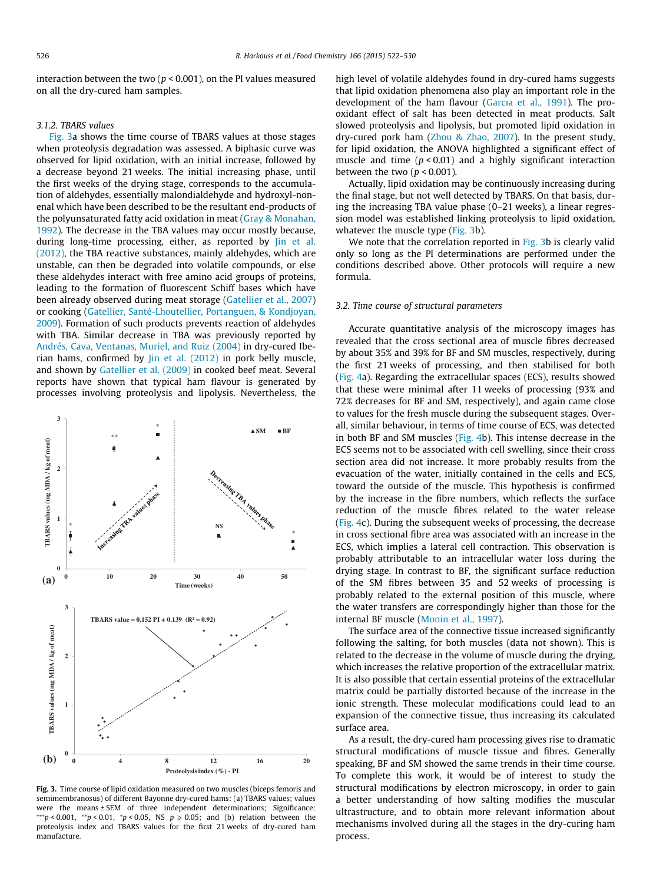interaction between the two ( $p < 0.001$ ), on the PI values measured on all the dry-cured ham samples.

# 3.1.2. TBARS values

Fig. 3a shows the time course of TBARS values at those stages when proteolysis degradation was assessed. A biphasic curve was observed for lipid oxidation, with an initial increase, followed by a decrease beyond 21 weeks. The initial increasing phase, until the first weeks of the drying stage, corresponds to the accumulation of aldehydes, essentially malondialdehyde and hydroxyl-nonenal which have been described to be the resultant end-products of the polyunsaturated fatty acid oxidation in meat ([Gray & Monahan,](#page-7-0) [1992\)](#page-7-0). The decrease in the TBA values may occur mostly because, during long-time processing, either, as reported by  $\left| \right|$  at al. [\(2012\),](#page-8-0) the TBA reactive substances, mainly aldehydes, which are unstable, can then be degraded into volatile compounds, or else these aldehydes interact with free amino acid groups of proteins, leading to the formation of fluorescent Schiff bases which have been already observed during meat storage ([Gatellier et al., 2007\)](#page-7-0) or cooking ([Gatellier, Santé-Lhoutellier, Portanguen, & Kondjoyan,](#page-7-0) [2009\)](#page-7-0). Formation of such products prevents reaction of aldehydes with TBA. Similar decrease in TBA was previously reported by [Andrés, Cava, Ventanas, Muriel, and Ruiz \(2004\)](#page-7-0) in dry-cured Iberian hams, confirmed by [Jin et al. \(2012\)](#page-8-0) in pork belly muscle, and shown by [Gatellier et al. \(2009\)](#page-7-0) in cooked beef meat. Several reports have shown that typical ham flavour is generated by processes involving proteolysis and lipolysis. Nevertheless, the



Fig. 3. Time course of lipid oxidation measured on two muscles (biceps femoris and semimembranosus) of different Bayonne dry-cured hams: (a) TBARS values; values were the means ± SEM of three independent determinations; Significance: \*\*\*p < 0.001, \*\*p < 0.01, \*p < 0.05, NS  $p \ge 0.05$ ; and (b) relation between the proteolysis index and TBARS values for the first 21 weeks of dry-cured ham manufacture.

high level of volatile aldehydes found in dry-cured hams suggests that lipid oxidation phenomena also play an important role in the development of the ham flavour [\(Garc](#page-7-0)i[a et al., 1991\)](#page-7-0). The prooxidant effect of salt has been detected in meat products. Salt slowed proteolysis and lipolysis, but promoted lipid oxidation in dry-cured pork ham [\(Zhou & Zhao, 2007](#page-8-0)). In the present study, for lipid oxidation, the ANOVA highlighted a significant effect of muscle and time ( $p < 0.01$ ) and a highly significant interaction between the two ( $p < 0.001$ ).

Actually, lipid oxidation may be continuously increasing during the final stage, but not well detected by TBARS. On that basis, during the increasing TBA value phase (0–21 weeks), a linear regression model was established linking proteolysis to lipid oxidation, whatever the muscle type (Fig. 3b).

We note that the correlation reported in Fig. 3b is clearly valid only so long as the PI determinations are performed under the conditions described above. Other protocols will require a new formula.

# 3.2. Time course of structural parameters

Accurate quantitative analysis of the microscopy images has revealed that the cross sectional area of muscle fibres decreased by about 35% and 39% for BF and SM muscles, respectively, during the first 21 weeks of processing, and then stabilised for both ([Fig. 4](#page-5-0)a). Regarding the extracellular spaces (ECS), results showed that these were minimal after 11 weeks of processing (93% and 72% decreases for BF and SM, respectively), and again came close to values for the fresh muscle during the subsequent stages. Overall, similar behaviour, in terms of time course of ECS, was detected in both BF and SM muscles [\(Fig. 4](#page-5-0)b). This intense decrease in the ECS seems not to be associated with cell swelling, since their cross section area did not increase. It more probably results from the evacuation of the water, initially contained in the cells and ECS, toward the outside of the muscle. This hypothesis is confirmed by the increase in the fibre numbers, which reflects the surface reduction of the muscle fibres related to the water release ([Fig. 4c](#page-5-0)). During the subsequent weeks of processing, the decrease in cross sectional fibre area was associated with an increase in the ECS, which implies a lateral cell contraction. This observation is probably attributable to an intracellular water loss during the drying stage. In contrast to BF, the significant surface reduction of the SM fibres between 35 and 52 weeks of processing is probably related to the external position of this muscle, where the water transfers are correspondingly higher than those for the internal BF muscle [\(Monin et al., 1997\)](#page-8-0).

The surface area of the connective tissue increased significantly following the salting, for both muscles (data not shown). This is related to the decrease in the volume of muscle during the drying, which increases the relative proportion of the extracellular matrix. It is also possible that certain essential proteins of the extracellular matrix could be partially distorted because of the increase in the ionic strength. These molecular modifications could lead to an expansion of the connective tissue, thus increasing its calculated surface area.

As a result, the dry-cured ham processing gives rise to dramatic structural modifications of muscle tissue and fibres. Generally speaking, BF and SM showed the same trends in their time course. To complete this work, it would be of interest to study the structural modifications by electron microscopy, in order to gain a better understanding of how salting modifies the muscular ultrastructure, and to obtain more relevant information about mechanisms involved during all the stages in the dry-curing ham process.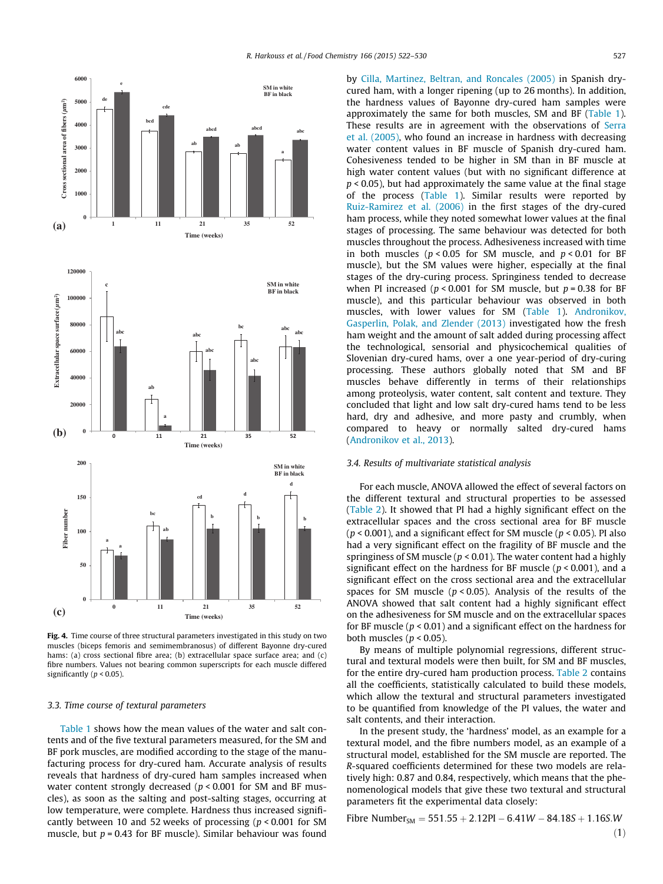<span id="page-5-0"></span>

Fig. 4. Time course of three structural parameters investigated in this study on two muscles (biceps femoris and semimembranosus) of different Bayonne dry-cured hams: (a) cross sectional fibre area; (b) extracellular space surface area; and (c) fibre numbers. Values not bearing common superscripts for each muscle differed significantly ( $p < 0.05$ ).

# 3.3. Time course of textural parameters

[Table 1](#page-6-0) shows how the mean values of the water and salt contents and of the five textural parameters measured, for the SM and BF pork muscles, are modified according to the stage of the manufacturing process for dry-cured ham. Accurate analysis of results reveals that hardness of dry-cured ham samples increased when water content strongly decreased ( $p < 0.001$  for SM and BF muscles), as soon as the salting and post-salting stages, occurring at low temperature, were complete. Hardness thus increased significantly between 10 and 52 weeks of processing ( $p < 0.001$  for SM muscle, but  $p = 0.43$  for BF muscle). Similar behaviour was found by [Cilla, Martinez, Beltran, and Roncales \(2005\)](#page-7-0) in Spanish drycured ham, with a longer ripening (up to 26 months). In addition, the hardness values of Bayonne dry-cured ham samples were approximately the same for both muscles, SM and BF ([Table 1\)](#page-6-0). These results are in agreement with the observations of [Serra](#page-8-0) [et al. \(2005\),](#page-8-0) who found an increase in hardness with decreasing water content values in BF muscle of Spanish dry-cured ham. Cohesiveness tended to be higher in SM than in BF muscle at high water content values (but with no significant difference at  $p$  < 0.05), but had approximately the same value at the final stage of the process ([Table 1](#page-6-0)). Similar results were reported by [Ruiz-Ramirez et al. \(2006\)](#page-8-0) in the first stages of the dry-cured ham process, while they noted somewhat lower values at the final stages of processing. The same behaviour was detected for both muscles throughout the process. Adhesiveness increased with time in both muscles ( $p < 0.05$  for SM muscle, and  $p < 0.01$  for BF muscle), but the SM values were higher, especially at the final stages of the dry-curing process. Springiness tended to decrease when PI increased ( $p < 0.001$  for SM muscle, but  $p = 0.38$  for BF muscle), and this particular behaviour was observed in both muscles, with lower values for SM [\(Table 1](#page-6-0)). [Andronikov,](#page-7-0) [Gasperlin, Polak, and Zlender \(2013\)](#page-7-0) investigated how the fresh ham weight and the amount of salt added during processing affect the technological, sensorial and physicochemical qualities of Slovenian dry-cured hams, over a one year-period of dry-curing processing. These authors globally noted that SM and BF muscles behave differently in terms of their relationships among proteolysis, water content, salt content and texture. They concluded that light and low salt dry-cured hams tend to be less hard, dry and adhesive, and more pasty and crumbly, when compared to heavy or normally salted dry-cured hams ([Andronikov et al., 2013](#page-7-0)).

# 3.4. Results of multivariate statistical analysis

For each muscle, ANOVA allowed the effect of several factors on the different textural and structural properties to be assessed ([Table 2\)](#page-6-0). It showed that PI had a highly significant effect on the extracellular spaces and the cross sectional area for BF muscle ( $p$  < 0.001), and a significant effect for SM muscle ( $p$  < 0.05). PI also had a very significant effect on the fragility of BF muscle and the springiness of SM muscle ( $p < 0.01$ ). The water content had a highly significant effect on the hardness for BF muscle ( $p < 0.001$ ), and a significant effect on the cross sectional area and the extracellular spaces for SM muscle ( $p < 0.05$ ). Analysis of the results of the ANOVA showed that salt content had a highly significant effect on the adhesiveness for SM muscle and on the extracellular spaces for BF muscle ( $p < 0.01$ ) and a significant effect on the hardness for both muscles ( $p < 0.05$ ).

By means of multiple polynomial regressions, different structural and textural models were then built, for SM and BF muscles, for the entire dry-cured ham production process. [Table 2](#page-6-0) contains all the coefficients, statistically calculated to build these models, which allow the textural and structural parameters investigated to be quantified from knowledge of the PI values, the water and salt contents, and their interaction.

In the present study, the 'hardness' model, as an example for a textural model, and the fibre numbers model, as an example of a structural model, established for the SM muscle are reported. The R-squared coefficients determined for these two models are relatively high: 0.87 and 0.84, respectively, which means that the phenomenological models that give these two textural and structural parameters fit the experimental data closely:

Fibre Number<sub>SM</sub> =  $551.55 + 2.12$ PI –  $6.41W - 84.18S + 1.16S.W$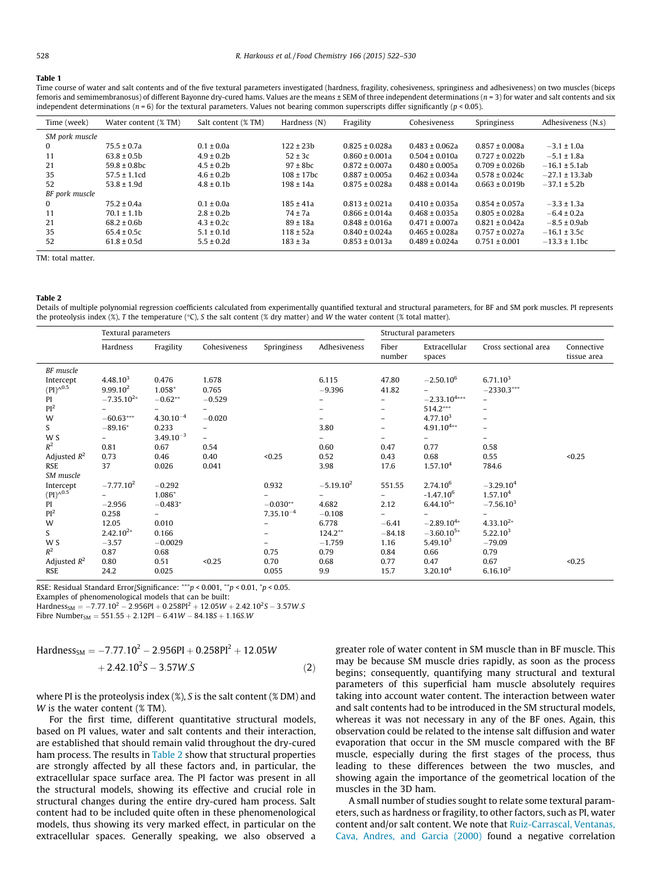#### <span id="page-6-0"></span>Table 1

Time course of water and salt contents and of the five textural parameters investigated (hardness, fragility, cohesiveness, springiness and adhesiveness) on two muscles (biceps femoris and semimembranosus) of different Bayonne dry-cured hams. Values are the means  $\pm$  SEM of three independent determinations ( $n = 3$ ) for water and salt contents and six independent determinations ( $n = 6$ ) for the textural parameters. Values not bearing common superscripts differ significantly ( $p < 0.05$ ).

| Time (week)    | Water content (% TM) | Salt content (% TM) | Hardness (N)    | Fragility          | Cohesiveness        | Springiness         | Adhesiveness (N.s)  |
|----------------|----------------------|---------------------|-----------------|--------------------|---------------------|---------------------|---------------------|
| SM pork muscle |                      |                     |                 |                    |                     |                     |                     |
| 0              | $75.5 \pm 0.7a$      | $0.1 \pm 0.0a$      | $122 + 23h$     | $0.825 \pm 0.028a$ | $0.483 \pm 0.062a$  | $0.857 \pm 0.008a$  | $-3.1 \pm 1.0a$     |
| 11             | $63.8 \pm 0.5b$      | $4.9 \pm 0.2$       | $52 \pm 3c$     | $0.860 \pm 0.001a$ | $0.504 \pm 0.010a$  | $0.727 \pm 0.022b$  | $-5.1 \pm 1.8a$     |
| 21             | $59.8 \pm 0.8$ bc    | $4.5 \pm 0.2$       | $97 \pm 8$ bc   | $0.872 \pm 0.007a$ | $0.480 \pm 0.005a$  | $0.709 \pm 0.026$   | $-16.1 \pm 5.1ab$   |
| 35             | $57.5 \pm 1.1$ cd    | $4.6 \pm 0.2$       | $108 \pm 17$ bc | $0.887 \pm 0.005a$ | $0.462 \pm 0.034a$  | $0.578 \pm 0.024c$  | $-27.1 \pm 13.3$ ab |
| 52             | $53.8 \pm 1.9d$      | $4.8 \pm 0.1$ b     | $198 \pm 14a$   | $0.875 \pm 0.028a$ | $0.488 \pm 0.014a$  | $0.663 \pm 0.019$ b | $-37.1 \pm 5.2$     |
| BF pork muscle |                      |                     |                 |                    |                     |                     |                     |
| 0              | $75.2 \pm 0.4a$      | $0.1 \pm 0.0a$      | $185 \pm 41a$   | $0.813 \pm 0.021a$ | $0.410 \pm 0.035a$  | $0.854 \pm 0.057a$  | $-3.3 \pm 1.3a$     |
| 11             | $70.1 \pm 1.1$       | $2.8 \pm 0.2$       | $74 \pm 7a$     | $0.866 \pm 0.014a$ | $0.468 \pm 0.035a$  | $0.805 \pm 0.028a$  | $-6.4 \pm 0.2a$     |
| 21             | $68.2 \pm 0.6$ b     | $4.3 \pm 0.2c$      | $89 \pm 18a$    | $0.848 \pm 0.016a$ | $0.471 \pm 0.007$ a | $0.821 \pm 0.042a$  | $-8.5 \pm 0.9$ ab   |
| 35             | $65.4 \pm 0.5c$      | $5.1 \pm 0.1d$      | $118 \pm 52a$   | $0.840 \pm 0.024a$ | $0.465 \pm 0.028a$  | $0.757 \pm 0.027a$  | $-16.1 \pm 3.5c$    |
| 52             | $61.8 \pm 0.5d$      | $5.5 \pm 0.2d$      | $183 \pm 3a$    | $0.853 \pm 0.013a$ | $0.489 \pm 0.024a$  | $0.751 \pm 0.001$   | $-13.3 \pm 1.1$ bc  |

TM: total matter.

### Table 2

Details of multiple polynomial regression coefficients calculated from experimentally quantified textural and structural parameters, for BF and SM pork muscles. PI represents the proteolysis index (%), T the temperature ( $\degree$ C), S the salt content (% dry matter) and W the water content (% total matter).

|                     | Textural parameters      |                          |                          |                |                | Structural parameters    |                          |                          |                           |
|---------------------|--------------------------|--------------------------|--------------------------|----------------|----------------|--------------------------|--------------------------|--------------------------|---------------------------|
|                     | Hardness                 | Fragility                | Cohesiveness             | Springiness    | Adhesiveness   | Fiber<br>number          | Extracellular<br>spaces  | Cross sectional area     | Connective<br>tissue area |
| BF muscle           |                          |                          |                          |                |                |                          |                          |                          |                           |
| Intercept           | 4.48.10 <sup>3</sup>     | 0.476                    | 1.678                    |                | 6.115          | 47.80                    | $-2.50.10^{6}$           | 6.71.10 <sup>3</sup>     |                           |
| $(PI)^{\wedge 0.5}$ | 9.99.10 <sup>2</sup>     | 1.058*                   | 0.765                    |                | $-9.396$       | 41.82                    |                          | $-2330.3***$             |                           |
| PI                  | $-7.35.10^{2*}$          | $-0.62**$                | $-0.529$                 |                |                | -                        | $-2.33.10^{4***}$        | $\overline{\phantom{0}}$ |                           |
| PI <sup>2</sup>     | $\overline{\phantom{0}}$ | $\overline{\phantom{0}}$ | $\overline{\phantom{0}}$ |                | -              | Ξ.                       | $514.2***$               | $\overline{\phantom{0}}$ |                           |
| W                   | $-60.63***$              | $4.30.10^{-4}$           | $-0.020$                 |                | -              | $\overline{\phantom{0}}$ | 4.77.10 <sup>3</sup>     | $\overline{\phantom{a}}$ |                           |
| S                   | $-89.16*$                | 0.233                    |                          |                | 3.80           | $\overline{\phantom{0}}$ | $4.91.10^{4**}$          | $\overline{\phantom{a}}$ |                           |
| W S                 |                          | $3.49.10^{-3}$           | $\overline{\phantom{0}}$ |                |                | -                        | $\overline{\phantom{0}}$ | $\overline{\phantom{0}}$ |                           |
| $R^2$               | 0.81                     | 0.67                     | 0.54                     |                | 0.60           | 0.47                     | 0.77                     | 0.58                     |                           |
| Adjusted $R^2$      | 0.73                     | 0.46                     | 0.40                     | < 0.25         | 0.52           | 0.43                     | 0.68                     | 0.55                     | < 0.25                    |
| <b>RSE</b>          | 37                       | 0.026                    | 0.041                    |                | 3.98           | 17.6                     | 1.57.10 <sup>4</sup>     | 784.6                    |                           |
| SM muscle           |                          |                          |                          |                |                |                          |                          |                          |                           |
| Intercept           | $-7.77.10^{2}$           | $-0.292$                 |                          | 0.932          | $-5.19.10^{2}$ | 551.55                   | $2.74.10^{6}$            | $-3.29.104$              |                           |
| $(PI)^{\wedge 0.5}$ |                          | 1.086*                   |                          |                |                | $\overline{\phantom{0}}$ | $-1.47.10^{6}$           | 1.57.10 <sup>4</sup>     |                           |
| PI                  | $-2.956$                 | $-0.483*$                |                          | $-0.030**$     | 4.682          | 2.12                     | $6.44.10^{5*}$           | $-7.56.10^{3}$           |                           |
| PI <sup>2</sup>     | 0.258                    | Ξ.                       |                          | $7.35.10^{-4}$ | $-0.108$       | Ξ.                       |                          |                          |                           |
| W                   | 12.05                    | 0.010                    |                          |                | 6.778          | $-6.41$                  | $-2.89.10^{4*}$          | $4.33.10^{2*}$           |                           |
| S                   | $2.42.10^{2*}$           | 0.166                    |                          |                | $124.2**$      | $-84.18$                 | $-3.60.10^{5*}$          | 5.22.10 <sup>3</sup>     |                           |
| W S                 | $-3.57$                  | $-0.0029$                |                          |                | $-1.759$       | 1.16                     | 5.49.10 <sup>3</sup>     | $-79.09$                 |                           |
| $R^2$               | 0.87                     | 0.68                     |                          | 0.75           | 0.79           | 0.84                     | 0.66                     | 0.79                     |                           |
| Adjusted $R^2$      | 0.80                     | 0.51                     | < 0.25                   | 0.70           | 0.68           | 0.77                     | 0.47                     | 0.67                     | < 0.25                    |
| <b>RSE</b>          | 24.2                     | 0.025                    |                          | 0.055          | 9.9            | 15.7                     | 3.20.10 <sup>4</sup>     | 6.16.10 <sup>2</sup>     |                           |

RSE: Residual Standard Error/Significance:  $^{***}p < 0.001$ ,  $^{*}p < 0.01$ ,  $^{*}p < 0.05$ .

Examples of phenomenological models that can be built:

 $Hardness<sub>SM</sub> = -7.77.10<sup>2</sup> - 2.956PI + 0.258PI<sup>2</sup> + 12.05W + 2.42.10<sup>2</sup>S - 3.57W.S$ Fibre Number<sub>SM</sub> =  $551.55 + 2.12$ PI –  $6.41W - 84.18S + 1.16S$ .W

HardnessSM ¼ 7:77:102 2:956PI þ 0:258PI2 þ 12:05W þ 2:42:102 S 3:57W:S ð2Þ

where PI is the proteolysis index (%), S is the salt content (% DM) and W is the water content (% TM).

For the first time, different quantitative structural models, based on PI values, water and salt contents and their interaction, are established that should remain valid throughout the dry-cured ham process. The results in Table 2 show that structural properties are strongly affected by all these factors and, in particular, the extracellular space surface area. The PI factor was present in all the structural models, showing its effective and crucial role in structural changes during the entire dry-cured ham process. Salt content had to be included quite often in these phenomenological models, thus showing its very marked effect, in particular on the extracellular spaces. Generally speaking, we also observed a greater role of water content in SM muscle than in BF muscle. This may be because SM muscle dries rapidly, as soon as the process begins; consequently, quantifying many structural and textural parameters of this superficial ham muscle absolutely requires taking into account water content. The interaction between water and salt contents had to be introduced in the SM structural models, whereas it was not necessary in any of the BF ones. Again, this observation could be related to the intense salt diffusion and water evaporation that occur in the SM muscle compared with the BF muscle, especially during the first stages of the process, thus leading to these differences between the two muscles, and showing again the importance of the geometrical location of the muscles in the 3D ham.

A small number of studies sought to relate some textural parameters, such as hardness or fragility, to other factors, such as PI, water content and/or salt content. We note that [Ruiz-Carrascal, Ventanas,](#page-8-0) [Cava, Andres, and Garcia \(2000\)](#page-8-0) found a negative correlation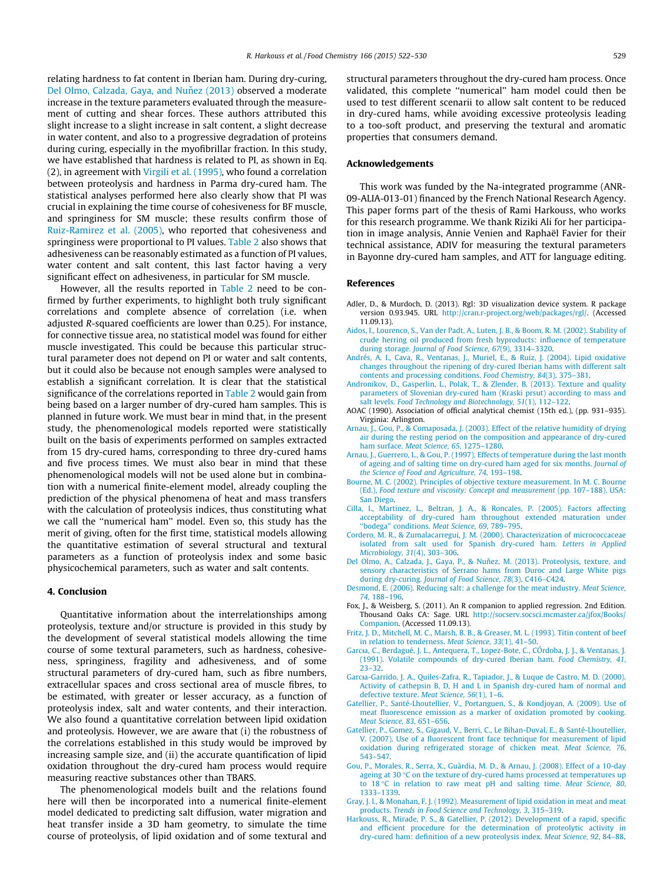<span id="page-7-0"></span>relating hardness to fat content in Iberian ham. During dry-curing, Del Olmo, Calzada, Gaya, and Nuñez (2013) observed a moderate increase in the texture parameters evaluated through the measurement of cutting and shear forces. These authors attributed this slight increase to a slight increase in salt content, a slight decrease in water content, and also to a progressive degradation of proteins during curing, especially in the myofibrillar fraction. In this study, we have established that hardness is related to PI, as shown in Eq. (2), in agreement with [Virgili et al. \(1995\)](#page-8-0), who found a correlation between proteolysis and hardness in Parma dry-cured ham. The statistical analyses performed here also clearly show that PI was crucial in explaining the time course of cohesiveness for BF muscle, and springiness for SM muscle; these results confirm those of [Ruiz-Ramirez et al. \(2005\),](#page-8-0) who reported that cohesiveness and springiness were proportional to PI values. [Table 2](#page-6-0) also shows that adhesiveness can be reasonably estimated as a function of PI values, water content and salt content, this last factor having a very significant effect on adhesiveness, in particular for SM muscle.

However, all the results reported in [Table 2](#page-6-0) need to be confirmed by further experiments, to highlight both truly significant correlations and complete absence of correlation (i.e. when adjusted R-squared coefficients are lower than 0.25). For instance, for connective tissue area, no statistical model was found for either muscle investigated. This could be because this particular structural parameter does not depend on PI or water and salt contents, but it could also be because not enough samples were analysed to establish a significant correlation. It is clear that the statistical significance of the correlations reported in [Table 2](#page-6-0) would gain from being based on a larger number of dry-cured ham samples. This is planned in future work. We must bear in mind that, in the present study, the phenomenological models reported were statistically built on the basis of experiments performed on samples extracted from 15 dry-cured hams, corresponding to three dry-cured hams and five process times. We must also bear in mind that these phenomenological models will not be used alone but in combination with a numerical finite-element model, already coupling the prediction of the physical phenomena of heat and mass transfers with the calculation of proteolysis indices, thus constituting what we call the ''numerical ham'' model. Even so, this study has the merit of giving, often for the first time, statistical models allowing the quantitative estimation of several structural and textural parameters as a function of proteolysis index and some basic physicochemical parameters, such as water and salt contents.

## 4. Conclusion

Quantitative information about the interrelationships among proteolysis, texture and/or structure is provided in this study by the development of several statistical models allowing the time course of some textural parameters, such as hardness, cohesiveness, springiness, fragility and adhesiveness, and of some structural parameters of dry-cured ham, such as fibre numbers, extracellular spaces and cross sectional area of muscle fibres, to be estimated, with greater or lesser accuracy, as a function of proteolysis index, salt and water contents, and their interaction. We also found a quantitative correlation between lipid oxidation and proteolysis. However, we are aware that (i) the robustness of the correlations established in this study would be improved by increasing sample size, and (ii) the accurate quantification of lipid oxidation throughout the dry-cured ham process would require measuring reactive substances other than TBARS.

The phenomenological models built and the relations found here will then be incorporated into a numerical finite-element model dedicated to predicting salt diffusion, water migration and heat transfer inside a 3D ham geometry, to simulate the time course of proteolysis, of lipid oxidation and of some textural and structural parameters throughout the dry-cured ham process. Once validated, this complete ''numerical'' ham model could then be used to test different scenarii to allow salt content to be reduced in dry-cured hams, while avoiding excessive proteolysis leading to a too-soft product, and preserving the textural and aromatic properties that consumers demand.

### Acknowledgements

This work was funded by the Na-integrated programme (ANR-09-ALIA-013-01) financed by the French National Research Agency. This paper forms part of the thesis of Rami Harkouss, who works for this research programme. We thank Riziki Ali for her participation in image analysis, Annie Venien and Raphaël Favier for their technical assistance, ADIV for measuring the textural parameters in Bayonne dry-cured ham samples, and ATT for language editing.

#### References

- Adler, D., & Murdoch, D. (2013). Rgl: 3D visualization device system. R package version 0.93.945. URL [http://cran.r-project.org/web/packages/rgl/](http://www.cran.r-project.org/web/packages/rgl/). (Accessed 11.09.13).
- [Aidos, I., Lourenco, S., Van der Padt, A., Luten, J. B., & Boom, R. M. \(2002\). Stability of](http://refhub.elsevier.com/S0308-8146(14)00899-1/h0010) [crude herring oil produced from fresh byproducts: influence of temperature](http://refhub.elsevier.com/S0308-8146(14)00899-1/h0010)
- during storage. [Journal of Food Science, 67](http://refhub.elsevier.com/S0308-8146(14)00899-1/h0010)(9), 3314–3320. [Andrés, A. I., Cava, R., Ventanas, J., Muriel, E., & Ruiz, J. \(2004\). Lipid oxidative](http://refhub.elsevier.com/S0308-8146(14)00899-1/h0015) [changes throughout the ripening of dry-cured Iberian hams with different salt](http://refhub.elsevier.com/S0308-8146(14)00899-1/h0015) [contents and processing conditions.](http://refhub.elsevier.com/S0308-8146(14)00899-1/h0015) Food Chemistry, 84(3), 375–381.
- [Andronikov, D., Gasperlin, L., Polak, T., & Zlender, B. \(2013\). Texture and quality](http://refhub.elsevier.com/S0308-8146(14)00899-1/h0020) [parameters of Slovenian dry-cured ham \(Kraski prsut\) according to mass and](http://refhub.elsevier.com/S0308-8146(14)00899-1/h0020) salt levels. [Food Technology and Biotechnology, 51](http://refhub.elsevier.com/S0308-8146(14)00899-1/h0020)(1), 112–122.
- AOAC (1990). Association of official analytical chemist (15th ed.), (pp. 931–935). Virginia: Arlington.
- [Arnau, J., Gou, P., & Comaposada, J. \(2003\). Effect of the relative humidity of drying](http://refhub.elsevier.com/S0308-8146(14)00899-1/h0030) [air during the resting period on the composition and appearance of dry-cured](http://refhub.elsevier.com/S0308-8146(14)00899-1/h0030) ham surface. [Meat Science, 65](http://refhub.elsevier.com/S0308-8146(14)00899-1/h0030), 1275–1280.
- [Arnau, J., Guerrero, L., & Gou, P. \(1997\). Effects of temperature during the last month](http://refhub.elsevier.com/S0308-8146(14)00899-1/h0035) [of ageing and of salting time on dry-cured ham aged for six months.](http://refhub.elsevier.com/S0308-8146(14)00899-1/h0035) Journal of [the Science of Food and Agriculture, 74](http://refhub.elsevier.com/S0308-8146(14)00899-1/h0035), 193–198.
- [Bourne, M. C. \(2002\). Principles of objective texture measurement. In M. C. Bourne](http://refhub.elsevier.com/S0308-8146(14)00899-1/h0040) (Ed.), [Food texture and viscosity: Concept and measurement](http://refhub.elsevier.com/S0308-8146(14)00899-1/h0040) (pp. 107–188). USA: [San Diego.](http://refhub.elsevier.com/S0308-8146(14)00899-1/h0040)
- [Cilla, I., Martinez, L., Beltran, J. A., & Roncales, P. \(2005\). Factors affecting](http://refhub.elsevier.com/S0308-8146(14)00899-1/h0045) [acceptability of dry-cured ham throughout extended maturation under](http://refhub.elsevier.com/S0308-8146(14)00899-1/h0045) [''bodega'' conditions.](http://refhub.elsevier.com/S0308-8146(14)00899-1/h0045) Meat Science, 69, 789–795.
- [Cordero, M. R., & Zumalacarregui, J. M. \(2000\). Characterization of micrococcaceae](http://refhub.elsevier.com/S0308-8146(14)00899-1/h0050) [isolated from salt used for Spanish dry-cured ham.](http://refhub.elsevier.com/S0308-8146(14)00899-1/h0050) Letters in Applied [Microbiology, 31](http://refhub.elsevier.com/S0308-8146(14)00899-1/h0050)(4), 303–306.
- Del Olmo, A., Calzada, J., Gaya, P., & Nuňez, M. (2013). Proteolysis, texture, and [sensory characteristics of Serrano hams from Duroc and Large White pigs](http://refhub.elsevier.com/S0308-8146(14)00899-1/h0055) during dry-curing. [Journal of Food Science, 78](http://refhub.elsevier.com/S0308-8146(14)00899-1/h0055)(3), C416–C424.
- [Desmond, E. \(2006\). Reducing salt: a challenge for the meat industry.](http://refhub.elsevier.com/S0308-8146(14)00899-1/h0060) Meat Science, 74[, 188–196](http://refhub.elsevier.com/S0308-8146(14)00899-1/h0060).
- Fox, J., & Weisberg, S. (2011). An R companion to applied regression. 2nd Edition. Thousand Oaks CA: Sage. URL [http://socserv.socsci.mcmaster.ca/jfox/Books/](http://www.socserv.socsci.mcmaster.ca/jfox/Books/Companion) [Companion](http://www.socserv.socsci.mcmaster.ca/jfox/Books/Companion). (Accessed 11.09.13).
- [Fritz, J. D., Mitchell, M. C., Marsh, B. B., & Greaser, M. L. \(1993\). Titin content of beef](http://refhub.elsevier.com/S0308-8146(14)00899-1/h0070) [in relation to tenderness.](http://refhub.elsevier.com/S0308-8146(14)00899-1/h0070) Meat Science, 33(1), 41–50.
- [Garc](http://refhub.elsevier.com/S0308-8146(14)00899-1/h0075)i[a, C., Berdagué, J. L., Antequera, T., Lopez-Bote, C., CÓrdoba, J. J., & Ventanas, J.](http://refhub.elsevier.com/S0308-8146(14)00899-1/h0075) [\(1991\). Volatile compounds of dry-cured Iberian ham.](http://refhub.elsevier.com/S0308-8146(14)00899-1/h0075) Food Chemistry, 41, [23–32.](http://refhub.elsevier.com/S0308-8146(14)00899-1/h0075)
- [Garc](http://refhub.elsevier.com/S0308-8146(14)00899-1/h0080)i[a-Garrido, J. A., Quiles-Zafra, R., Tapiador, J., & Luque de Castro, M. D. \(2000\).](http://refhub.elsevier.com/S0308-8146(14)00899-1/h0080) [Activity of cathepsin B, D, H and L in Spanish dry-cured ham of normal and](http://refhub.elsevier.com/S0308-8146(14)00899-1/h0080) [defective texture.](http://refhub.elsevier.com/S0308-8146(14)00899-1/h0080) Meat Science, 56(1), 1–6.
- [Gatellier, P., Santé-Lhoutellier, V., Portanguen, S., & Kondjoyan, A. \(2009\). Use of](http://refhub.elsevier.com/S0308-8146(14)00899-1/h0085) [meat fluorescence emission as a marker of oxidation promoted by cooking.](http://refhub.elsevier.com/S0308-8146(14)00899-1/h0085) [Meat Science, 83](http://refhub.elsevier.com/S0308-8146(14)00899-1/h0085), 651–656.
- [Gatellier, P., Gomez, S., Gigaud, V., Berri, C., Le Bihan-Duval, E., & Santé-Lhoutellier,](http://refhub.elsevier.com/S0308-8146(14)00899-1/h0090) [V. \(2007\). Use of a fluorescent front face technique for measurement of lipid](http://refhub.elsevier.com/S0308-8146(14)00899-1/h0090) [oxidation during refrigerated storage of chicken meat.](http://refhub.elsevier.com/S0308-8146(14)00899-1/h0090) Meat Science, 76, [543–547](http://refhub.elsevier.com/S0308-8146(14)00899-1/h0090).
- [Gou, P., Morales, R., Serra, X., Guàrdia, M. D., & Arnau, J. \(2008\). Effect of a 10-day](http://refhub.elsevier.com/S0308-8146(14)00899-1/h0095) [ageing at 30](http://refhub.elsevier.com/S0308-8146(14)00899-1/h0095)  $\degree$ [C on the texture of dry-cured hams processed at temperatures up](http://refhub.elsevier.com/S0308-8146(14)00899-1/h0095) to  $18^{\circ}$ [C in relation to raw meat pH and salting time.](http://refhub.elsevier.com/S0308-8146(14)00899-1/h0095) Meat Science, 80, [1333–1339.](http://refhub.elsevier.com/S0308-8146(14)00899-1/h0095)
- [Gray, J. I., & Monahan, F. J. \(1992\). Measurement of lipid oxidation in meat and meat](http://refhub.elsevier.com/S0308-8146(14)00899-1/h0100) products. [Trends in Food Science and Technology, 3](http://refhub.elsevier.com/S0308-8146(14)00899-1/h0100), 315–319.
- [Harkouss, R., Mirade, P. S., & Gatellier, P. \(2012\). Development of a rapid, specific](http://refhub.elsevier.com/S0308-8146(14)00899-1/h0105) [and efficient procedure for the determination of proteolytic activity in](http://refhub.elsevier.com/S0308-8146(14)00899-1/h0105) [dry-cured ham: definition of a new proteolysis index.](http://refhub.elsevier.com/S0308-8146(14)00899-1/h0105) Meat Science, 92, 84–88.